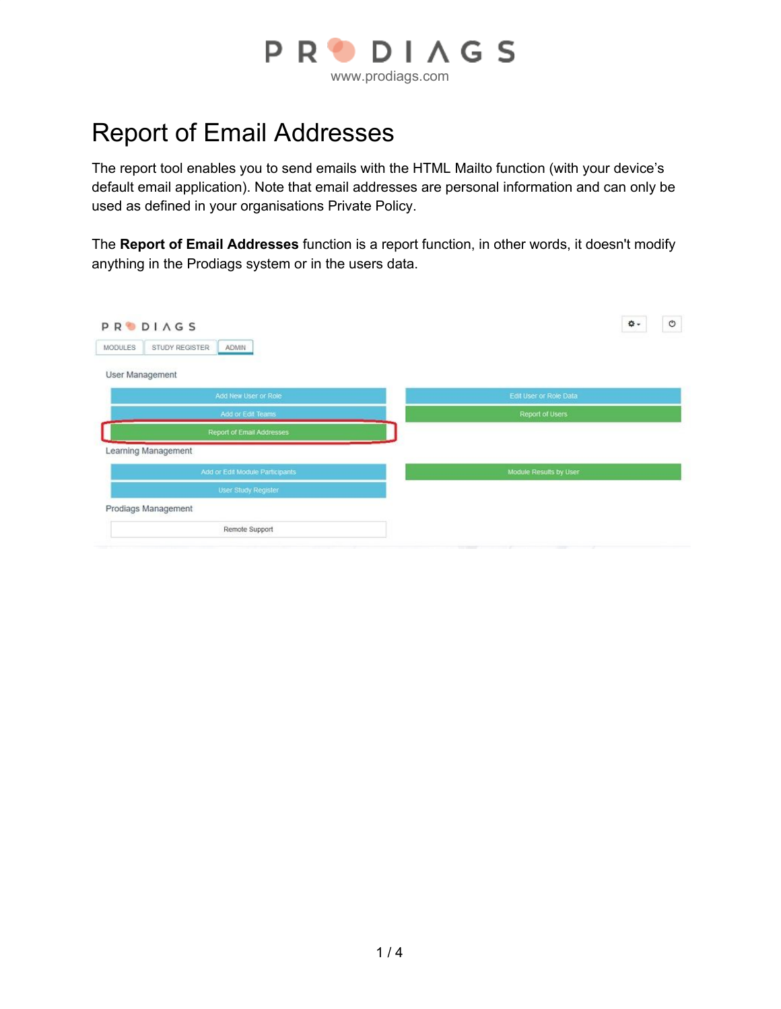

# Report of Email Addresses

The report tool enables you to send emails with the HTML Mailto function (with your device's default email application). Note that email addresses are personal information and can only be used as defined in your organisations Private Policy.

The **Report of Email Addresses** function is a report function, in other words, it doesn't modify anything in the Prodiags system or in the users data.

| <b>PRODIAGS</b><br>STUDY REGISTER<br><b>MODULES</b><br>ADMIN | $_{\circ}$<br>۰\$      |
|--------------------------------------------------------------|------------------------|
| User Management                                              |                        |
| Add New User or Role                                         | Edit User or Role Data |
| Add or Edit Teams                                            | Report of Users        |
| Report of Email Addresses                                    |                        |
| Learning Management                                          |                        |
| Add or Edit Module Participants                              | Module Results by User |
| User Study Register                                          |                        |
| Prodiags Management                                          |                        |
| Remote Support                                               |                        |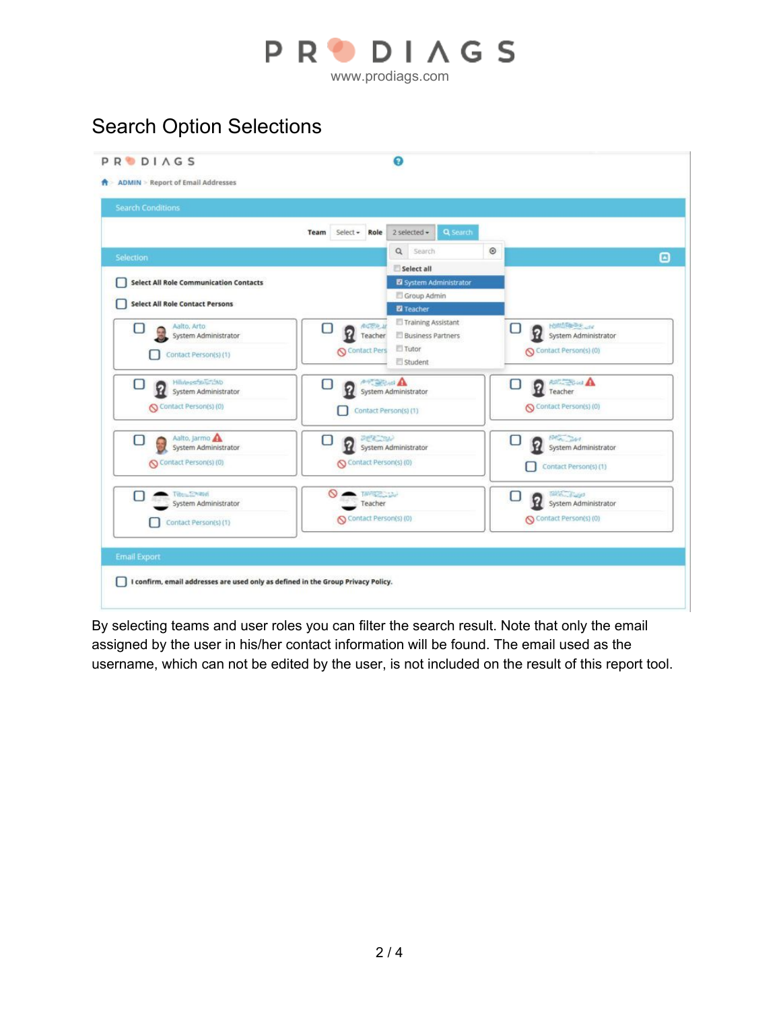

www.prodiags.com

## Search Option Selections

| <b>Search Conditions</b>                                                |                                                          |                                                                    |              |                                                                               |   |
|-------------------------------------------------------------------------|----------------------------------------------------------|--------------------------------------------------------------------|--------------|-------------------------------------------------------------------------------|---|
|                                                                         | Team Select - Role                                       | $2$ selected $\sim$<br>Q Search                                    |              |                                                                               |   |
| Selection                                                               |                                                          | $\alpha$<br>Search                                                 | $^\circledR$ |                                                                               | ▣ |
|                                                                         |                                                          | Select all                                                         |              |                                                                               |   |
| <b>Select All Role Communication Contacts</b>                           |                                                          | System Administrator                                               |              |                                                                               |   |
| <b>Select All Role Contact Persons</b>                                  |                                                          | Group Admin<br><b>Z</b> Teacher                                    |              |                                                                               |   |
| Aalto, Arto<br>System Administrator<br>Contact Person(s) (1)            | <b>AICRA IF</b><br>Р<br>Teacher<br><b>Q</b> Contact Pers | Training Assistant<br><b>Business Partners</b><br>Tutor<br>Student |              | Hoffdrie-Dr. Law<br>О<br>System Administrator<br>Contact Person(s) (0)        |   |
| Hildessi zaultimo<br>O<br>System Administrator<br>Contact Person(s) (0) | <b>A</b><br>O<br>Ω<br>Contact Person(s) (1)              | System Administrator                                               |              | <b>P</b> reacher<br>U<br>Contact Person(s) (0)                                |   |
| Aalto, Jarmo<br>U<br>System Administrator<br>Contact Person(s) (0)      | 2世紀 24<br>U<br>Contact Person(s) (0)                     | System Administrator                                               |              | <b>PAGE JAY</b><br>П<br>System Administrator<br>Contact Person(s) (1)         |   |
| <b>TWEE</b> EMBRE<br>u<br>System Administrator<br>Contact Person(s) (1) | TAPPEZ Line<br>Teacher<br>Contact Person(s) (0)          |                                                                    |              | Tall Construction<br>U<br>Ŷ.<br>System Administrator<br>Contact Person(s) (0) |   |
| <b>Email Export</b>                                                     |                                                          |                                                                    |              |                                                                               |   |

By selecting teams and user roles you can filter the search result. Note that only the email assigned by the user in his/her contact information will be found. The email used as the username, which can not be edited by the user, is not included on the result of this report tool.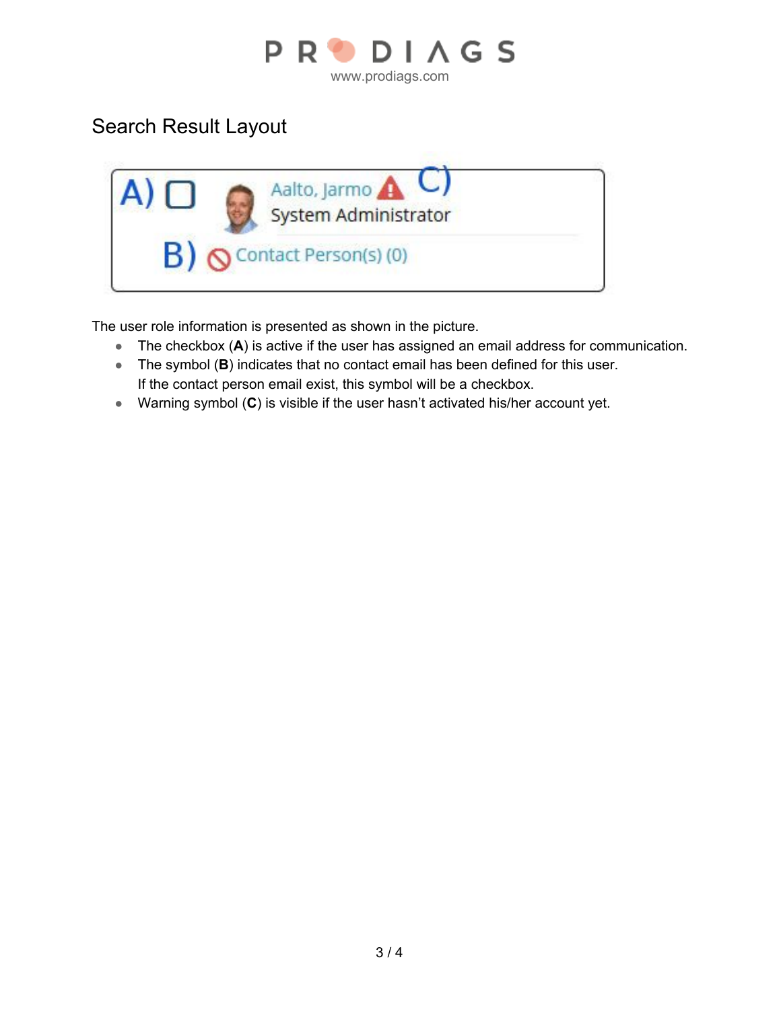

### Search Result Layout



The user role information is presented as shown in the picture.

- The checkbox (**A**) is active if the user has assigned an email address for communication.
- The symbol (**B**) indicates that no contact email has been defined for this user. If the contact person email exist, this symbol will be a checkbox.
- Warning symbol (**C**) is visible if the user hasn't activated his/her account yet.